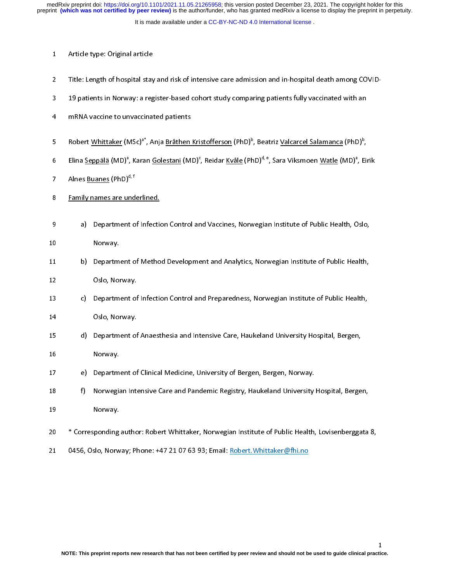- 1 Article type: Original article<br>2 Title: Length of hospital stay<br>3 19 patients in Norway: a reg<br>4 MRNA vaccine to unvaccinal
- 2 Title: Length of hospital stay and risk of hospital state admission and in-hospital state and only a<br>2 Title: The state of the intensive care administration and in-hospital death among the in-<br>2 Title: The Salamanca (PhD
- 
- 3 19 patients in Normay: angles is also benefit that, comparing patients fully consider that an<br>3 19 mRNA vaccine to unvaccinated patients<br>3 19 Robert <u>Whittaker</u> (MSc)<sup>a\*</sup>, Anja <u>Bråthen Kristofferson</u> (PhD)<sup>b</sup>, Beatriz <u></u> 4 maart van de van de maar van de patients<br>5 met Kobert <u>Whittaker</u> (MSc)<sup>a\*</sup>, Anja <u>Bråthen</u><br>6 met Elina <u>Seppälä</u> (MD)<sup>a</sup>, Karan <u>Golestani</u> (M<br>7 met Buanes (PhD)<sup>d, f</sup>
- 5 Robert <u>Whittaker</u> (MSc)°, Anja <u>Bråthen Kristofferson</u> (PhD)°, Beatriz <u>Valcarcel Salamanca</u> (PhD)°,<br>6 Elina <u>Seppälä</u> (MD)<sup>a</sup>, Karan <u>Golestani</u> (MD)°, Reidar <u>Kvåle</u> (PhD)<sup>d, e</sup>, Sara Viksmoen <u>Watle</u> (MD)<sup>a</sup>, Eil<br>7 A , Karan <u>Golestani</u> (MD)°<br>d, f<br>nderlined.<br>t of Infostion Control an k – Elina <u>Seppala</u> (MD)", Karan <u>Golestani</u> (MD)", Reidar <u>Kvåle</u> (PhD)"", Sara Viksmoen <u>Watle</u> (MD)", Eirik<br>2 , Alnes <u>Buanes</u> (PhD)<sup>d, f</sup><br>8 , <u>Family names are underlined.</u><br>2 , Department of Infection Central and Vassi
- 
- Alnes <u>Buanes</u> (PhD)<sup>d, 7</sup><br>8 **Family names are und<br>9 a) Department d<br>9 Monyay**
- Alnes <u>Buanes</u> (PhD)<sup>d, f</sup><br>Eamily names are underlined.<br>a) Department of Infection Control and Vaccines, Norwegian Institute of Public Health, Oslo, Emily names and the union<br>8 Family 19 Reportment of Infection<br>8 Family 1, The Department of Mother
- 
- 9 10 10 Norway.<br>9 a) Department of Method Development and Analytics, Norwegian Institute of Public Health, Coslo, Norway.
- 11 b) Department<br>12 Oslo, Nor<br>13 c) Department
- 13 c) Department of Infection Control and Preparedness, Norwegian Institute of Public Health,<br>14 Oslo, Norway.
- 
- 13 c) Department of<br>14 Oslo, Norway.<br>15 d) Department of 15 d) Department of Anaesthesia and Intensive Care, Haukeland University Hospital, Bergen,<br>16 Norway. 15 d) Department of<br>16 Norway.<br>17 e) Department of
- 
- 
- 17 e) Department of Clinical Medicine, University of Bergen, Bergen, Norway.<br>18 f) Norwegian Intensive Care and Pandemic Registry, Haukeland University Hospital, Bergen, 17 e) Department<br>18 f) Norwegia<br>19 Norway. 17 Engines of Clinical Medicine, University of Department of Clinical Medicine, University of Bergen, Norway.<br>19 Norway.<br>20 The Corresponding author: Robert Whittaker, Norwegian Institute of Public Health,
- 
- 19 Morway.<br>18 Norway.<br>20 \* Corresponding author: Robert Whittaker, Norwegian Institute of Public Health, Lovisenberggata<br>21 0456, Oslo, Norway; Phone: +47 21 07 63 93; Email: <u>Robert. Whittaker@fhi.no</u> 20 \* Corresponding<br>21 0456, Oslo, Norw
- 20 \* Corresponding author: Robert Whittaker, Norwegian Institute of Public Health, Lovisenberggata 8, 21 0456, Oslo, Norway; Phone: +47 21 07 63 93; Email: <u>+47 21 07 63</u><br>;<br>Phone: +47 21 07 63<br>;

 $\mathbf{1}$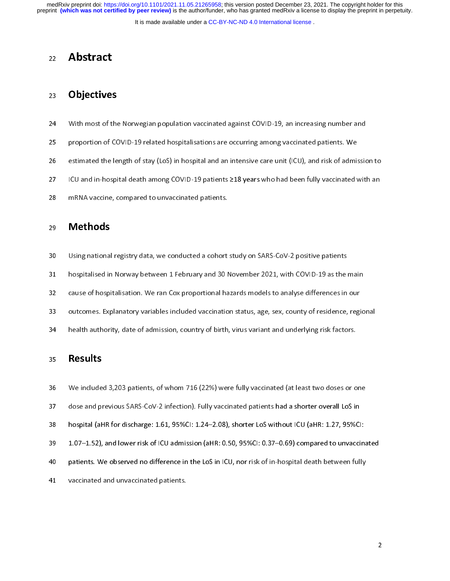preprint **(which was not certified by peer review)** is the author/funder, who has granted medRxiv a license to display the preprint in perpetuity. medRxiv preprint doi: [https://doi.org/10.1101/2021.11.05.21265958;](https://doi.org/10.1101/2021.11.05.21265958) this version posted December 23, 2021. The copyright holder for this

It is made available under a [CC-BY-NC-ND 4.0 International license](http://creativecommons.org/licenses/by-nc-nd/4.0/) .

# 22 Abstract

# 23 Objectives

- $24$
- 
- 25 proportion of COVID-19 related hospitalisations are occurring among vaccinated patients. We<br>26 estimated the length of stay (LoS) in hospital and an intensive care unit (ICU), and risk of admission<br>27 ICU and in-hospita 26 estimated the length of stay (LoS) in hospital and an intensive care unit (ICU), and risk of admistion of COVID-19 relations are out (ICU), and risk of admistions are out (ICU) and in-hospital death among COVID-19 patie
- 27 Estimated the length of stay, (Los) in hospital and and minimization care unit (ICU), and risk of admission to<br>28 ESS in the length of a mRNA vaccine, compared to unvaccinated patients.
- 28 ICU and interpret death among COVID-19 patients 219 years who had been takey contained with an<br>28 IMRNA vaccine, compared to unvaccinated patients.<br>29 **Methods**

- 29 mana vacans) suppleme to unvacancine patients.<br>29 **Methods**<br>30 Using national registry data, we conducted a cohort 29 **Methods**<br>30 Using nationa<br>31 hospitalised in
- 30 Using national registry data, we conducted a cohort study on SARS-CoV-2 positive patients<br>31 hospitalised in Norway between 1 February and 30 November 2021, with COVID-19 as the main<br>32 cause of hospitalisation. We ran
- 32 cause of hospitalisation. We ran Cox proportional hazards models to analyse differences in our<br>33 outcomes. Explanatory variables included vaccination status, age, sex, county of residence, regio<br>34 health authority, da
- 33 outcomes. Explanatory variables included vaccination status, age, sex, county of residence, regi<br>34 health authority, date of admission, country of birth, virus variant and underlying risk factors.
- 34 health authority, date of admission, country of birth, virus variant and underlying risk factors.<br>35 **Results**

### **Results**

- 36 We included 3,203 patients, of whom 716 (22%) were fully vaccinated (at least two doses or one
- 
- 
- 37 dose and previous SARS-CoV-2 infection). Fully vaccinated patients had a shorter overall LoS in<br>38 hospital (aHR for discharge: 1.61, 95%CI: 1.24–2.08), shorter LoS without ICU (aHR: 1.27, 95%CI:<br>39 1.07–1.52), and lowe 37 dose and previous SARS-CoV-2 infection). Fully vaccinated patients had a shorter overall LoS in<br>38 hospital (aHR for discharge: 1.61, 95%CI: 1.24–2.08), shorter LoS without ICU (aHR: 1.27, 95%CI:<br>39 1.07–1.52), and lowe 39 hospital (attrict at the get discrept and the lospital street and the third at the (aHR for discreption 1.07–1.52), and lower risk of ICU admission (aHR: 0.50, 95%CI: 0.37–0.69) compared to unvaccin<br>39 patients. We obse
- 39 1.08 1.02), and lower ranger readmission (at the US) computer of the promptute and anti-the admission (a) patients.<br>40 patients. We observed no difference in the LoS in ICU, nor risk of in-hospital death between fully<br>4
- 41 vaccinated and unvaccinated patients.<br>41 vaccinated and unvaccinated patients. 41 vaccinated and unvaccinated patients.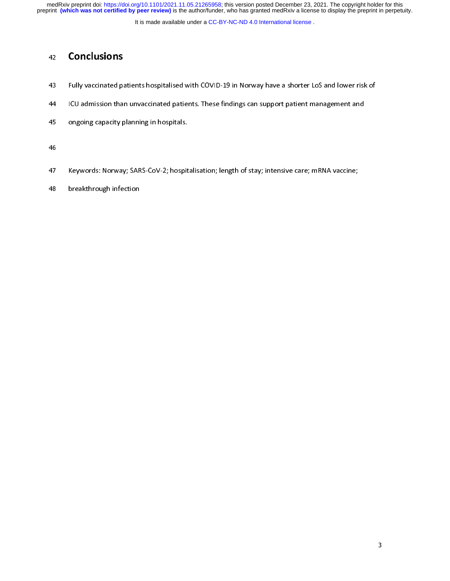It is made available under a CC-BY-NC-ND 4.0 International license.

- 42 **Conclusions**<br>43 Fully vaccinated pa<br>44 ICU admission tha
- Fully vaccinated patients hospitalised with COVID-19 in Norway have a shorter LoS and lower risk of<br>ICU admission than unvaccinated patients. These findings can support patient management and<br>ongoing capacity planning in h
- 14 ICU admission than unvaccinated patients. The support patients in the original management and<br>145 Iongoing capacity planning in hospitals.
- 46
- 47 Keywords: Norway; SARS-CoV-2; hospitalisation; length of stay; intensive care; mRNA vaccine;<br>48 breakthrough infection
- 48 Beakthrough infection<br>48 Beakthrough infection 48 breakthrough infection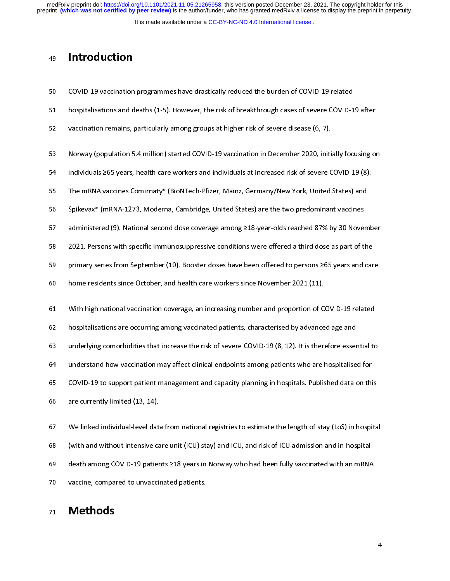It is made available under a [CC-BY-NC-ND 4.0 International license](http://creativecommons.org/licenses/by-nc-nd/4.0/) .

# 49 Introduction

| 50 | COVID-19 vaccination programmes have drastically reduced the burden of COVID-19 related                   |
|----|-----------------------------------------------------------------------------------------------------------|
| 51 | hospitalisations and deaths (1-5). However, the risk of breakthrough cases of severe COVID-19 after       |
| 52 | vaccination remains, particularly among groups at higher risk of severe disease (6, 7).                   |
| 53 | Norway (population 5.4 million) started COVID-19 vaccination in December 2020, initially focusing on      |
| 54 | individuals ≥65 years, health care workers and individuals at increased risk of severe COVID-19 (8).      |
| 55 | The mRNA vaccines Comirnaty® (BioNTech-Pfizer, Mainz, Germany/New York, United States) and                |
| 56 | Spikevax® (mRNA-1273, Moderna, Cambridge, United States) are the two predominant vaccines                 |
| 57 | administered (9). National second dose coverage among ≥18-year-olds reached 87% by 30 November            |
| 58 | 2021. Persons with specific immunosuppressive conditions were offered a third dose as part of the         |
| 59 | primary series from September (10). Booster doses have been offered to persons ≥65 years and care         |
| 60 | home residents since October, and health care workers since November 2021 (11).                           |
| 61 | With high national vaccination coverage, an increasing number and proportion of COVID-19 related          |
| 62 | hospitalisations are occurring among vaccinated patients, characterised by advanced age and               |
| 63 | underlying comorbidities that increase the risk of severe COVID-19 (8, 12). It is therefore essential to  |
| 64 | understand how vaccination may affect clinical endpoints among patients who are hospitalised for          |
| 65 | COVID-19 to support patient management and capacity planning in hospitals. Published data on this         |
| 66 | are currently limited (13, 14).                                                                           |
| 67 | We linked individual-level data from national registries to estimate the length of stay (LoS) in hospital |
| 68 | (with and without intensive care unit (ICU) stay) and ICU, and risk of ICU admission and in-hospital      |
| 69 | death among COVID-19 patients ≥18 years in Norway who had been fully vaccinated with an mRNA              |
| 70 | vaccine, compared to unvaccinated patients.                                                               |
| 71 | <b>Methods</b>                                                                                            |

# 21 Methods<br>21 Methods 71 Methods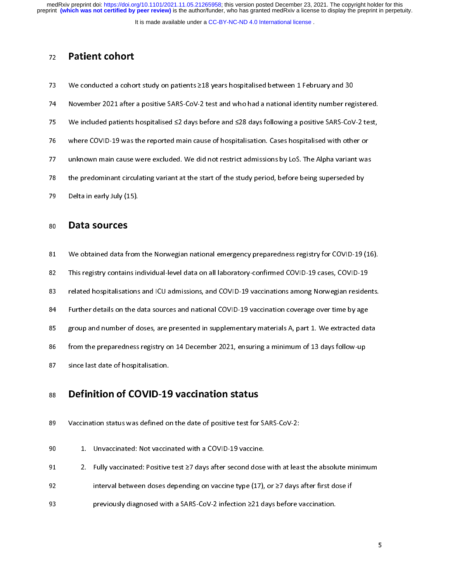preprint **(which was not certified by peer review)** is the author/funder, who has granted medRxiv a license to display the preprint in perpetuity. medRxiv preprint doi: [https://doi.org/10.1101/2021.11.05.21265958;](https://doi.org/10.1101/2021.11.05.21265958) this version posted December 23, 2021. The copyright holder for this

It is made available under a [CC-BY-NC-ND 4.0 International license](http://creativecommons.org/licenses/by-nc-nd/4.0/) .

### 72 Patient cohort

- 73
- 74 November 2021 after a positive SARS-CoV-2 test and who had a national identity number reg<br>75 We included patients hospitalised ≤2 days before and ≤28 days following a positive SARS-CoV<br>76 Where COVID-19 was the reporte
- 
- 
- 24 More included patients hospitalised ≤2 days before and ≤28 days following a positive SARS-CoV-2 test,<br>76 We included patients hospitalised ≤2 days before and ≤28 days following a positive SARS-CoV-2 test,<br>77 Unknown ma 75 We included patients hospitalised ≤2 days before and ≤28 days following a positive SARS-CoV-2 te<br>76 where COVID-19 was the reported main cause of hospitalisation. Cases hospitalised with other or<br>77 unknown main cause 77 unknown main cause were excluded. We did not restrict admissions by LoS. The Alpha variant was<br>78 the predominant circulating variant at the start of the study period, before being superseded by<br>79 Delta in early July (
- The predominant circulating variant at the start of the study period, before being superseded by<br>Delta in early July (15).  $\frac{1}{2}$  before a representation circulating variant at the start of the start, period, before being superseded by Data sources
- 

- $\begin{array}{lll} \text{PGL}(M,2m) & \text{PGL}(M,2m) \ \text{R30} & \text{Data} & \text{SOLUTION} \ \text{R41} & \text{We obtained data from} \end{array}$ 80 **Data sources**<br>81 We obtained data fi<br>82 This registry contain
- 
- 82 This registry contains individual-level data on all laboratory-confirmed COVID-19 cases, COVID-19<br>83 Pelated hospitalisations and ICU admissions, and COVID-19 vaccinations among Norwegian residents.<br>84 Purther details o 1282 This registry contains in the laboratory contained containing to the set of the set of the set of the set<br>83 The related hospitalisations and ICU admissions, and COVID-19 vaccinations among Norwegian resider<br>84 Turthe
- 
- Further details on the data sources and national COVID-19 vaccination coverage over time by age<br>83 group and number of doses, are presented in supplementary materials A, part 1. We extracted data<br>86 from the preparedness r 85 group and number of doses, are presented in supplementary materials A, part 1. We extracted dar<br>86 from the preparedness registry on 14 December 2021, ensuring a minimum of 13 days follow-up<br>87 since last date of hospit
- 86 from the preparedness registry on 14 December 2021, ensuring a minimum of 13 days follow-up<br>87 since last date of hospitalisation.
- 

# 87 since last date of hospitalisation.<br>88 **Definition of COVID-19 vaccination status** 17 Since the Last data production.<br>88 **Definition of COVID-19**<br>89 Vaccination status was defined or 88 Definition of COVID-19 vaccination status

- 
- 
- 89 Maximum status was defined on the date of positive test of positive test for a COVID-19 vaccine.<br>
89 September 199 Maximum on the date of positive test ≥7 days after second dose with at least<br>
89 September 199 Maximum
- 92 interval between doses depending on vaccine type (17), or ≥7 days after first dose if<br>93 previously diagnosed with a SARS-CoV-2 infection ≥21 days before vaccination.
- 91 2. Fully vaccinated: Positive test 27 days after second dose<br>92 interval between doses depending on vaccine type (17),<br>93 previously diagnosed with a SARS-CoV-2 infection 221 da 92 191 1. Fully vacantizate Protocology and protocology and absolute test and at least the absolute minimum<br>93 previously diagnosed with a SARS-CoV-2 infection ≥21 days before vaccination. 93 previously diagnosed with a SARS-CoV-2 infection ≥21 days before vacanties.<br>221 days before vacanties vacanties vacanties vacanties vacanties vacanties vacanties vacanties vacanties vac<br>221 days before vacanties vacant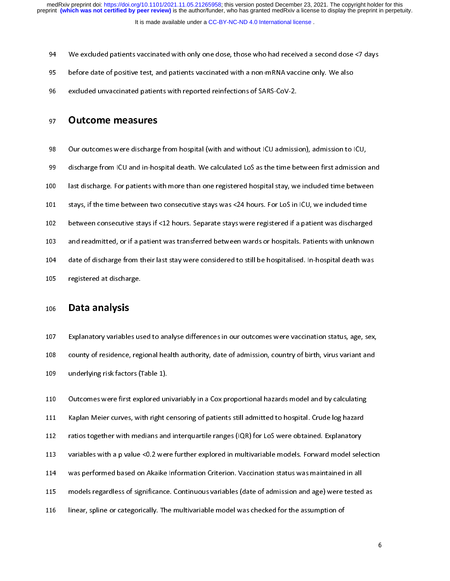- 94 We excluded patients vaccinated with only one dose, those who had received a second dose <7 days<br>95 before date of positive test, and patients vaccinated with a non-mRNA vaccine only. We also<br>96 excluded unvaccinated pa
- 
- excluded unvaccinated patients with reported reinfections of SARS-CoV-2.<br>97 **Outcome measures**

- 97 Cutcome measures<br>97 Outcome measures<br>98 Our outcomes were discharge from hospital (with and without ICU admissi
- 97 **Cuttome measures**<br>98 Our outcomes were discharge<br>99 discharge from ICU and in-ho-98 Our outcomes were discharge from hospital (with and without ICU admission), admission to ICU,<br>99 discharge from ICU and in-hospital death. We calculated LoS as the time between first admission and<br>100 last discharge. Fo
- 999 100 last discharge. For patients with more than one registered hospital stay, we included time between<br>101 stays, if the time between two consecutive stays was <24 hours. For LoS in ICU, we included time<br>102 between co
- 
- 
- 101 stays, if the time between two consecutive stays was <24 hours. For LoS in ICU, we included time<br>102 between consecutive stays if <12 hours. Separate stays were registered if a patient was discharged<br>103 and readmitted 102 between consecutive stays if <12 hours. Separate stays were registered if a patient was discharged<br>103 and readmitted, or if a patient was transferred between wards or hospitals. Patients with unknown<br>104 date of disch
- 103 and readmitted, or if a patient was transferred between wards or hospitals. Patients with unknown<br>104 date of discharge from their last stay were considered to still be hospitalised. In-hospital death was<br>105 registere 104 date of discharge from their last stay were considered to still be hospitalised. In-hospital death was<br>105 registered at discharge.<br>106 **Data analysis** 105 registered at discharge.<br>106 **Data analysis**
- 

106 **Data analysis**<br>106 **Data analysis**<br>107 Explanatory variables us 106 **Data analysis**<br>107 Explanatory variable<br>108 county of residence, 107 Explanatory variables used to analyse differences in our outcomes were vaccination status, age, sex,<br>
108 county of residence, regional health authority, date of admission, country of birth, virus variant and<br>
109 unde

109 county of residence, regional health authority, and of admission, country of antiny in the candidates<br>110 country of a country of a country of birth and the country of birth and the state of birth and the variant<br>111 K 110 Underlying risk factors (Table 1).<br>110 Underlying were first explored un<br>111 Kaplan Meier curves, with right c<br>112 ratios together with medians and 111 Kaplan Meier curves, with right censoring of patients still admitted to hospital. Crude log hazard<br>112 ratios together with medians and interquartile ranges (IQR) for LoS were obtained. Explanatory<br>113 variables with a 112 ratios together with medians and interquartile ranges (IQR) for LoS were obtained. Explanatory<br>113 variables with a p value <0.2 were further explored in multivariable models. Forward model selection was performed base 113 ratios together with medicine and interquartie ranges (IQR) for Lee Rede Sciencer Explanatory<br>113 ratios with a p value <0.2 were further explored in multivariable models. Forward model sele<br>114 was performed based on 114 was performed based on Akaike Information Criterion. Vaccination status was maintained in all<br>115 models regardless of significance. Continuous variables (date of admission and age) were tested as<br>116 linear, spline or 115 models regardless of significance. Continuous variables (date of admission and age) were tested<br>116 linear, spline or categorically. The multivariable model was checked for the assumption of 116 linear, spline or categorically. The multivariable model was checked for the assumption of 116 linear, spline or categorically. The multivariable model was checked for the assumption of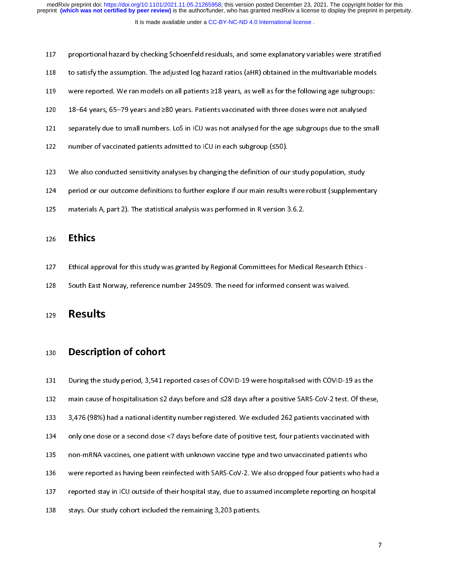117 proportional hazard by checking Schoenfeld residuals, and some explanatory variables were stratified<br>118 to satisfy the assumption. The adjusted log hazard ratios (aHR) obtained in the multivariable models<br>119 were rep

- 
- 
- 
- 119 were reported. We ran models on all patients 218 years, as well as for the following age subgroups:<br>120 18–64 years, 65–79 years and 280 years. Patients vaccinated with three doses were not analysed<br>121 separately due 119 119 were reported. We ran models on all patients 219 years, as were investigated in the following age subgroups<br>121 separately due to small numbers. LoS in ICU was not analysed for the age subgroups due to the sma<br>122 121 separately due to small numbers. LoS in ICU was not analysed for the age subgroups due to the sr<br>122 number of vaccinated patients admitted to ICU in each subgroup (≤50).<br>123 We also conducted sensitivity analyses by
- 
- 122 number of vaccinated patients admitted to ICU in each subgroup (≤50).<br>123 We also conducted sensitivity analyses by changing the definition of our study population, study<br>124 neriod or our outcome definitions to furthe 123 We also conducted sensitivity analyses by changing the definition of our<br>124 period or our outcome definitions to further explore if our main results<br>125 materials A part 2). The statistical analysis was performed in R
- 124 period or our outcome definitions to further explore if our main results were robust (supplement<br>125 materials A, part 2). The statistical analysis was performed in R version 3.6.2.<br>125
- 125 materials A, part 2). The statistical analysis was performed in R version 3.6.2.<br>126 **Ethics**

- 111 materials A, part 2). The statistical analysis was performed in R version 3.<br>126 **Ethics**<br>127 Ethical approval for this study was granted by Regional Committees for Medic 126 **Ethics**<br>127 Ethical ap<br>128 South Eas 127 Ethical approval for this study was granted by Regional Committees for Medical Research Ethics -<br>128 South East Norway, reference number 249509. The need for informed consent was waived.<br>129 **Results**
- 

# 129 Results<br>
249 South East Norway, reference number 249509. The new swarp and sent was warmed consent was waived. Results

130 **Description of cohort**<br>131 During the study period, 3,541 n<br>132 main cause of hospitalisation  $\leq$ 2 132 main cause of hospitalisation  $\leq$ 2 days before and  $\leq$ 28 days after a positive SARS-CoV-2 test. Of these<br>133 3,476 (98%) had a national identity number registered. We excluded 262 patients vaccinated with<br>134 only 133 a 3,476 (98%) had a national identity number registered. We excluded 262 patients vaccinated with<br>134 only one dose or a second dose <7 days before date of positive test, four patients vaccinated with<br>135 non-mRNA vacc 134 only one dose or a second dose <7 days before date of positive test, four patients vaccinated with<br>135 non-mRNA vaccines, one patient with unknown vaccine type and two unvaccinated patients who<br>136 were reported as hav 135 non-mRNA vaccines, one patient with unknown vaccine type and two unvaccinated patients who<br>136 were reported as having been reinfected with SARS-CoV-2. We also dropped four patients who have<br>137 reported stay in ICU ou 136 were reported as having been reinfected with SARS-CoV-2. We also dropped four patients who have reported stay in ICU outside of their hospital stay, due to assumed incomplete reporting on hospit stays. Our study cohort 136 were reported as having been reinfected with SARS-CoV-2. We also dropped four patients who had a<br>137 reported stay in ICU outside of their hospital stay, due to assumed incomplete reporting on hospital<br>138 stays. Our s 138 stays. Our study cohort included the remaining 3,203 patients. 138 stays. Our study cohort included the remaining 3,203 patients.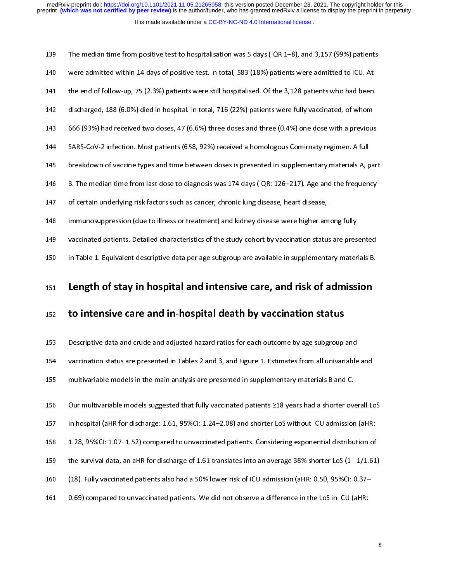| 151 | Length of stay in hospital and intensive care, and risk of admission                                  |
|-----|-------------------------------------------------------------------------------------------------------|
| 150 | in Table 1. Equivalent descriptive data per age subgroup are available in supplementary materials B.  |
| 149 | vaccinated patients. Detailed characteristics of the study cohort by vaccination status are presented |
| 148 | immunosuppression (due to illness or treatment) and kidney disease were higher among fully            |
| 147 | of certain underlying risk factors such as cancer, chronic lung disease, heart disease,               |
| 146 | 3. The median time from last dose to diagnosis was 174 days (IQR: 126-217). Age and the frequency     |
| 145 | breakdown of vaccine types and time between doses is presented in supplementary materials A, part     |
| 144 | SARS-CoV-2 infection. Most patients (658, 92%) received a homologous Comirnaty regimen. A full        |
| 143 | 666 (93%) had received two doses, 47 (6.6%) three doses and three (0.4%) one dose with a previous     |
| 142 | discharged, 188 (6.0%) died in hospital. In total, 716 (22%) patients were fully vaccinated, of whom  |
| 141 | the end of follow-up, 75 (2.3%) patients were still hospitalised. Of the 3,128 patients who had been  |
| 140 | were admitted within 14 days of positive test. In total, 583 (18%) patients were admitted to ICU. At  |
| 139 | The median time from positive test to hospitalisation was 5 days (IQR 1-8), and 3,157 (99%) patients  |

# 151 Length of stay in hospital and intensive care, and risk of admission<br>152 to intensive care and in-hospital death by vaccination status 151 Length of stay in hospital and intensive care, and risk of admission

152 to intensive care and in-hospital death by vaccination status<br>153 Descriptive data and crude and adjusted hazard ratios for each outcome by age subgroup and<br>154 vaccination status are presented in Tables 2 and 3, and F 154 vaccination status are presented in Tables 2 and 3, and Figure 1. Estimates from all univariable<br>155 multivariable models in the main analysis are presented in supplementary materials B and C.<br>156 Our multivariable mod

155 multivariable models in the main analysis are presented in supplementary materials B and C.<br>156 Our multivariable models suggested that fully vaccinated patients 218 years had a shorter overall Lost in hospital (aHR fo 156 Our multivariable models suggested that fully vaccinated patients 218 years had a shorter over<br>157 in hospital (aHR for discharge: 1.61, 95%Cl: 1.24–2.08) and shorter LoS without ICU admission<br>178 128 95%Cl: 1.07–1.52) 157 In hospital (aHR for discharge: 1.61, 95%Cl: 1.24–2.08) and shorter LoS without ICU admission (aHR:<br>158 1.28, 95%Cl: 1.07–1.52) compared to unvaccinated patients. Considering exponential distribution of<br>159 the surviva 158 1.28, 95%CI: 1.07–1.52) compared to unvaccinated patients. Considering exponential distribution of<br>159 the survival data, an aHR for discharge of 1.61 translates into an average 38% shorter LoS (1 - 1/1.61<br>160 (18). Fu 159 the survival data, an aHR for discharge of 1.61 translates into an average 38% shorter LoS (1 - 1/1.61)<br>160 (18). Fully vaccinated patients also had a 50% lower risk of ICU admission (aHR: 0.50, 95%CI: 0.37–<br>161 0.69) 169 (18). Fully vaccinated patients also had a 50% lower risk of ICU admission (aHR: 0.50, 95%CI: 0.37–<br>161 0.69) compared to unvaccinated patients. We did not observe a difference in the LoS in ICU (aHR: 161 (18). Fully vacantated patients also had a 50% lower risk of ICU cannotion (affine 1959) compared to unvaccinated patients. We did not observe a difference in the LoS in ICU (aHR: 0.59) compared to unvaccinated patient

161 0.69) compared to unvariant patients. We did not observe a difference in the LoS in ICU (aHR:<br>The LoS in ICU (aHR: 100) control in the LoS in ICU (aHR: 100) control in ICU (aHR: 100) control in ICU (aHR: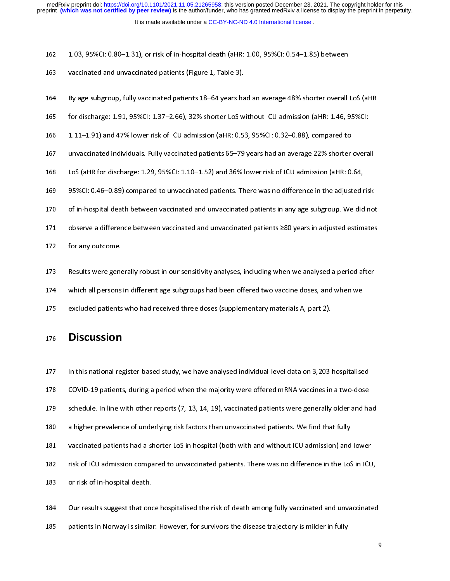- 
- 163 vaccinated and unvaccinated patients (Figure 1, Table 3).<br>164 By age subgroup, fully vaccinated patients 18–64 years had an average 48% shorter overall<br>165 for discharge: 1.91–95%CI: 1.37–2.66) 32% shorter LoS without
- vaccinated and unvaccinated patients (Figure 1, Table 3).<br>
164 By age subgroup, fully vaccinated patients 18–64 years had an average 48% shorter overall LoS (aHR<br>
165 for discharge: 1.91, 95%CI: 1.37–2.66), 32% shorter LoS
- 
- 167 unvaccinated individuals. Fully vaccinated patients 65–79 years had an average 22% shorter overall 166 1.11–1.91) and 47% lower risk of ICU admission (aHR: 0.53, 95%CI: 0.32–0.88), compared to<br>167 unvaccinated individuals. Fully vaccinated patients 65–79 years had an average 22% shorter overa<br>168 LoS (aHR for discharge: 167 International individuals. Fully vaccinated patients 65–79 years had an average 22% shorter<br>168 IoS (aHR for discharge: 1.29, 95%CI: 1.10–1.52) and 36% lower risk of ICU admission (aHR: 0.<br>169 95%CI: 0.46–0.89) compare
- 
- 168 LoS (aHR for discharge: 1.29, 95%Cl: 1.10–1.52) and 36% lower risk of ICU admission (aHR: 0.64,<br>169 95%Cl: 0.46–0.89) compared to unvaccinated patients. There was no difference in the adjusted risk<br>170 of in-hospital d 169 95%CI: 0.46–0.89) compared to unvaccinated patients. There was no difference in the adjusted r<br>170 of in-hospital death between vaccinated and unvaccinated patients in any age subgroup. We did<br>171 observe a difference
- 
- 170 of in-hospital death between vaccinated and unvaccinated patients in any age subgroup. We did not<br>171 observe a difference between vaccinated and unvaccinated patients  $\geq 80$  years in adjusted estimates<br>172 for any o of in-hospital death between vaccinated and unvaccinated patients in any age subgroup. We did not<br>171 observe a difference between vaccinated and unvaccinated patients  $\geq 80$  years in adjusted estimates<br>172 for any outco
- 
- 172 for any outcome.<br>172 for any outcome.<br>173 Results were generally robust in our sensitivity analyses, including when we analysed a period after<br>174 which all persons in different age subgroups had been offered two vacci 173 Results were gene<br>173 Results were gene<br>174 Which all persons<br>175 excluded patients
- 174 Which all persons in different age subgroups had been offered two vaccine doses, and when we excluded patients who had received three doses (supplementary materials A, part 2).
- 175 excluded patients who had received three doses (supplementary materials A, part 2).<br>176 **Discussion**

# 176 Discussion

- 176 **Discussion**<br>175 **Discussion**<br>177 In this national register-based study we have analysed individual-level data on 3.203
- 
- 178 COVID-19 patients, during a period when the majority were offered mRNA vaccines in a two-dose<br>179 schedule. In line with other reports (7, 13, 14, 19), vaccinated patients were generally older and have a higher prevale
- 
- 179 Schedule. In line with other reports (7, 13, 14, 19), vaccinated patients were generally older and has a higher prevalence of underlying risk factors than unvaccinated patients. We find that fully vaccinated patients h 181 vaccinated patients had a shorter LoS in hospital (both with and without ICU admission) and<br>182 risk of ICU admission compared to unvaccinated patients. There was no difference in the LoS<br>183 or risk of in-hospital dea
- 180 a higher prevalence of underlying risk factors than unvaccinated patients. We find that fully<br>181 vaccinated patients had a shorter LoS in hospital (both with and without ICU admission) and lower<br>182 risk of ICU admiss 182 risk of ICU admission compared to unvaccinated patients. There was no difference in the LoS in ICU<br>183 or risk of in-hospital death.<br>184 Our results suggest that once bospitalised the risk of death among fully vaccinat
- 
- 182 risk of ICU admission compared to unvaccinated patients. There was no difference in the LoS in ICU,<br>183 or risk of in-hospital death.<br>184 Our results suggest that once hospitalised the risk of death among fully vaccina 184 Our results suggest that one<br>185 patients in Norway is simila 185 patients in Norway is similar. However, for survivors the disease trajectory is milder in fully equilibrity of the risk of the risk of death among fully equilibrity is milder in fully

 $185$  patients in Norway is similar. However, for survivors the disease trajectory is milder in fully is  $\frac{1}{2}$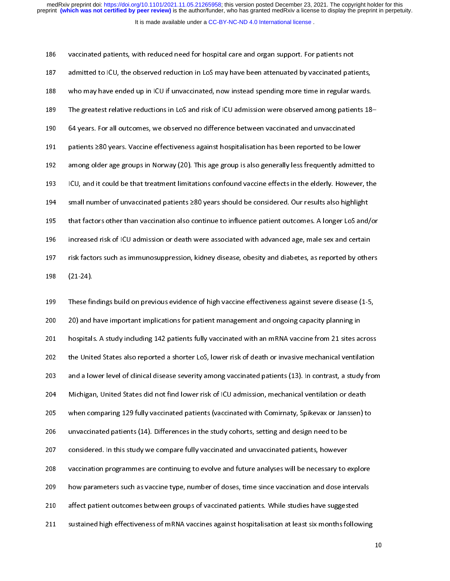| 186 | vaccinated patients, with reduced need for hospital care and organ support. For patients not          |
|-----|-------------------------------------------------------------------------------------------------------|
| 187 | admitted to ICU, the observed reduction in LoS may have been attenuated by vaccinated patients,       |
| 188 | who may have ended up in ICU if unvaccinated, now instead spending more time in regular wards.        |
| 189 | The greatest relative reductions in LoS and risk of ICU admission were observed among patients 18-    |
| 190 | 64 years. For all outcomes, we observed no difference between vaccinated and unvaccinated             |
| 191 | patients ≥80 years. Vaccine effectiveness against hospitalisation has been reported to be lower       |
| 192 | among older age groups in Norway (20). This age group is also generally less frequently admitted to   |
| 193 | ICU, and it could be that treatment limitations confound vaccine effects in the elderly. However, the |
| 194 | small number of unvaccinated patients ≥80 years should be considered. Our results also highlight      |
| 195 | that factors other than vaccination also continue to influence patient outcomes. A longer LoS and/or  |
| 196 | increased risk of ICU admission or death were associated with advanced age, male sex and certain      |
| 197 | risk factors such as immunosuppression, kidney disease, obesity and diabetes, as reported by others   |
| 198 | $(21 - 24)$                                                                                           |
| 199 | These findings build on previous evidence of high vaccine effectiveness against severe disease (1-5)  |

199 These findings build on previous evidence of high vaccine effectiveness against severe disease (1-5,<br>200 20) and have important implications for patient management and ongoing capacity planning in  $199$  These fir<br> $200$  20) and l<br> $201$  hospitals 1991 These mannings build on provided on mathematical on production of these figures of the binary providence<br>1991 Thespitals. A study including 142 patients fully vaccinated with an mRNA vaccine from 21 sites across<br>1992 201 bospitals. A study including 142 patients fully vaccinated with an mRNA vaccine from 21 sites ac<br>202 the United States also reported a shorter LoS, lower risk of death or invasive mechanical ventilary<br>203 and a lower l 202 the United States also reported a shorter LoS, lower risk of death or invasive mechanical ventilation<br>203 and a lower level of clinical disease severity among vaccinated patients (13). In contrast, a study fron<br>204 Mic 202 the United States also reported a shorter LoS, lower risk of death or invasive mechanical ventilation<br>203 and a lower level of clinical disease severity among vaccinated patients (13). In contrast, a study from<br>204 Mic 205 and a lomparing 129 fully vaccinated patients (vaccinated with Comirnaty, Spikevax or Janssen) to<br>206 and and antients (14). Differences in the study cohorts, setting and design need to be 207 considered. In this study we compare fully vaccinated and unvaccinated patients, however 206 unvaccinated patients (14). Differences in the study cohorts, setting and design need to be<br>207 considered. In this study we compare fully vaccinated and unvaccinated patients, however<br>208 vaccination programmes are co 207 considered. In this study we compare fully vaccinated and unvaccinated patients, however<br>208 vaccination programmes are continuing to evolve and future analyses will be necessary to 6<br>209 how parameters such as vaccine 208 vaccination programmes are continuing to evolve and future analyses will be necessary to a<br>209 how parameters such as vaccine type, number of doses, time since vaccination and dose in<br>210 affect patient outcomes betwee 209 bow parameters such as vaccine type, number of doses, time since vaccination and dose intervals<br>210 affect patient outcomes between groups of vaccinated patients. While studies have suggested<br>211 sustained high effecti 210 affect patient outcomes between groups of vaccinated patients. While studies have suggested<br>211 sustained high effectiveness of mRNA vaccines against hospitalisation at least six months following 211 sustained high effectiveness of mRNA vaccines against hospitalisation at least six months follow<br>211 sustained high effectiveness of mRNA vaccines against hospitalisation at least six months follow 211 sustained high effectiveness of mRNA vaccines against hospitalisation at least six months following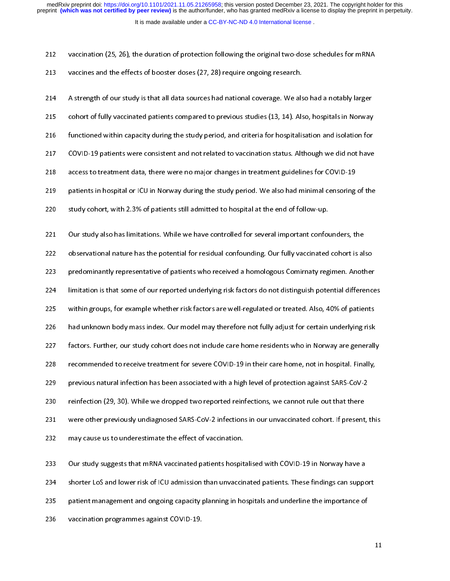It is made available under a [CC-BY-NC-ND 4.0 International license](http://creativecommons.org/licenses/by-nc-nd/4.0/) . medRxiv preprint doi: [https://doi.org/10.1101/2021.11.05.21265958;](https://doi.org/10.1101/2021.11.05.21265958) this version posted December 23, 2021. The copyright holder for this<br>preprint (which was not certified by peer review) is the author/funder, who has grante

| 212  | vaccination (25, 26), the duration of protection following the original two-dose schedules for mRNA      |
|------|----------------------------------------------------------------------------------------------------------|
| 213  | vaccines and the effects of booster doses (27, 28) require ongoing research.                             |
| 214  | A strength of our study is that all data sources had national coverage. We also had a notably larger     |
| 215  | cohort of fully vaccinated patients compared to previous studies (13, 14). Also, hospitals in Norway     |
| 216  | functioned within capacity during the study period, and criteria for hospitalisation and isolation for   |
| 217  | COVID-19 patients were consistent and not related to vaccination status. Although we did not have        |
| 218  | access to treatment data, there were no major changes in treatment guidelines for COVID-19               |
| 219  | patients in hospital or ICU in Norway during the study period. We also had minimal censoring of the      |
| 220  | study cohort, with 2.3% of patients still admitted to hospital at the end of follow-up.                  |
| 221  | Our study also has limitations. While we have controlled for several important confounders, the          |
| 222  | observational nature has the potential for residual confounding. Our fully vaccinated cohort is also     |
| 223  | predominantly representative of patients who received a homologous Comirnaty regimen. Another            |
| 224  | limitation is that some of our reported underlying risk factors do not distinguish potential differences |
| 225  | within groups, for example whether risk factors are well-regulated or treated. Also, 40% of patients     |
| 226  | had unknown body mass index. Our model may therefore not fully adjust for certain underlying risk        |
| 227  | factors. Further, our study cohort does not include care home residents who in Norway are generally      |
| 228  | recommended to receive treatment for severe COVID-19 in their care home, not in hospital. Finally,       |
| 229  | previous natural infection has been associated with a high level of protection against SARS-CoV-2        |
| 230  | reinfection (29, 30). While we dropped two reported reinfections, we cannot rule out that there          |
| 231  | were other previously undiagnosed SARS-CoV-2 infections in our unvaccinated cohort. If present, this     |
| 232  | may cause us to underestimate the effect of vaccination.                                                 |
| 233  | Our study suggests that mRNA vaccinated patients hospitalised with COVID-19 in Norway have a             |
| 234  | shorter LoS and lower risk of ICU admission than unvaccinated patients. These findings can support       |
| 235. | nationt management and ongoing canacity planning in hospitals and underline the importance of            |

234 Shorter LoS and lower risk of ICU admission than unvaccinated patients. These findings can support patient management and ongoing capacity planning in hospitals and underline the importance of vaccination programmes ag 234 shorter LoS and lower risk of ICU admission than unvaccinated patients. These findings can suppo<br>235 patient management and ongoing capacity planning in hospitals and underline the importance of<br>236 vaccination program

patient management and ongoing capacity planning in hospitals and unique in hospitals and underline the image vaccination programmes against COVID-19.

236 vaccination programmes against COVID-19.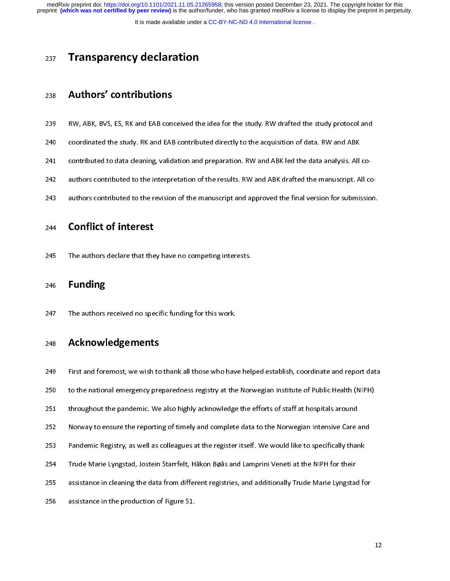preprint **(which was not certified by peer review)** is the author/funder, who has granted medRxiv a license to display the preprint in perpetuity. medRxiv preprint doi: [https://doi.org/10.1101/2021.11.05.21265958;](https://doi.org/10.1101/2021.11.05.21265958) this version posted December 23, 2021. The copyright holder for this

It is made available under a [CC-BY-NC-ND 4.0 International license](http://creativecommons.org/licenses/by-nc-nd/4.0/) .

# 237 Transparency declaration

# 238 Authors' contributions

- 239
- 
- 
- 240 coordinated the study. RK and EAB contributed directly to the acquisition of data. RW and ABK<br>241 contributed to data cleaning, validation and preparation. RW and ABK led the data analysis. All co-<br>242 authors contribu coordinated the study. RK and EAB contributed directly to the acquisition of data. RW and ABK<br>241 contributed to data cleaning, validation and preparation. RW and ABK led the data analysis. All co-<br>242 authors contributed 241 contributed to data cleaning, validation and preparation. RW and ABK led the data analysis. All co-
- 243 authors contributed to the revision of the manuscript and approved the final version for submission.<br>244 **Conflict of interest**

# **Conflict of interest**

244 **Conflict of interest**<br>245 The authors declare that they have no competing interests.

246 Funding<br>246 Funding<br>247 The authors received no specific funding for this work.

# 246 **Funding**<br>247 The authors<br>248 **Acknowl**

The authors received no specific funding for this work.<br>248 **Acknowledgements**<br>249 First and foremost, we wish to thank all those who have helped establish, coordinate and report data 248 **Acknowledgements**<br>249 First and foremost, we wish to<br>250 to the national emergency pre 250 to the national emergency preparedness registry at the Norwegian Institute of Public Health (NIPH)<br>251 throughout the pandemic. We also highly acknowledge the efforts of staff at hospitals around<br>252 Norway to ensure t 251 throughout the pandemic. We also highly acknowledge the efforts of staff at hospitals around<br>252 Norway to ensure the reporting of timely and complete data to the Norwegian Intensive Care and<br>253 Pandemic Registry, as 252 Norway to ensure the reporting of timely and complete data to the Norwegian Intensive Care and<br>253 Pandemic Registry, as well as colleagues at the register itself. We would like to specifically than<br>254 Trude Marie Lyn 253 Pandemic Registry, as well as colleagues at the register itself. We would like to specifically thank<br>254 Trude Marie Lyngstad, Jostein Starrfelt, Håkon Bøås and Lamprini Veneti at the NIPH for their<br>255 assistance in c 254 Pandemic Registry, as well as collegeds at the registre itself. We would be eposited, maint<br>254 Pandemic Register in the register is and the register itself. We would be a register it of their<br>255 assistance in cleanin 255 assistance in cleaning the data from different registries, and additionally Trude Marie Lyngstad<br>256 assistance in the production of Figure S1. 256 assistance in the production of Figure S1.<br>256 assistance in the production of Figure S1. 256 assistance in the production of Figure S1.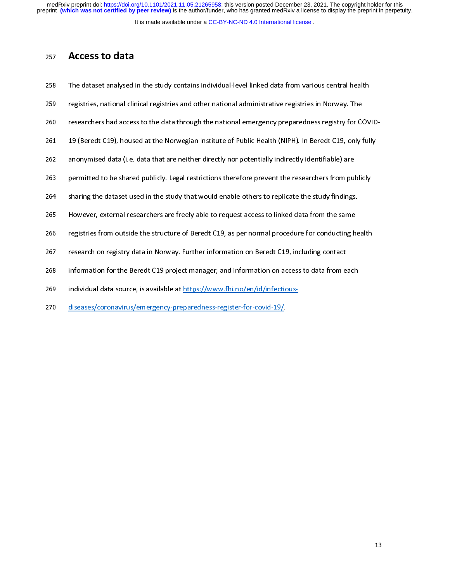It is made available under a [CC-BY-NC-ND 4.0 International license](http://creativecommons.org/licenses/by-nc-nd/4.0/) .

| 23 I | ALLLJJ LV UULU                                                                                       |
|------|------------------------------------------------------------------------------------------------------|
| 258  | The dataset analysed in the study contains individual-level linked data from various central health  |
| 259  | registries, national clinical registries and other national administrative registries in Norway. The |
|      | $\sim$ . Let it is the set in the set in the set in the $\sim$                                       |

- 
- 
- 259 The dataset analysed in the study contains in the matrice and the study contains in the study of the study<br>259 The dataset analysis in the study contains in the study of the study of the study of the study of the study 269 researchers had access to the data through the national emergency preparedness registry for CO<br>261 19 (Beredt C19), housed at the Norwegian Institute of Public Health (NIPH). In Beredt C19, only f<br>262 anonymised data ( 261 19 (Beredt C19), housed at the Norwegian Institute of Public Health (NIPH). In Beredt C19, only fully<br>262 anonymised data (i.e. data that are neither directly nor potentially indirectly identifiable) are<br>263 permitted
- 
- 262 anonymised data (i.e. data that are neither directly nor potentially indirectly identifiable) are<br>263 permitted to be shared publicly. Legal restrictions therefore prevent the researchers from public y<br>264 sharing the
- 
- 263 permitted to be shared publicly. Legal restrictions therefore prevent the researchers from pul<br>264 sharing the dataset used in the study that would enable others to replicate the study findings<br>265 However, external re
- 264 sharing the dataset used in the study that would enable others to replicate the study findings.<br>265 However, external researchers are freely able to request access to linked data from the same<br>266 registries from outsi 264 sharing the dataset used in the study that would enable others to replicate the study findings.<br>265 However, external researchers are freely able to request access to linked data from the same<br>266 registries from outsi
- 
- 266 However, external researchers are freedy data to request access to linked data from the same<br>266 Hogistries from outside the structure of Beredt C19, as per normal procedure for conducting h<br>267 Hosearch on registry da 267 research on registry data in Norway. Further information on Beredt C19, including contact<br>268 information for the Beredt C19 project manager, and information on access to data from each<br>269 individual data source, is a 268 information for the Beredt C19 project manager, and information on access to data from e<br>269 individual data source, is available at <u>https://www.fhi.no/en/id/infectious-</u><br>270 diseases/coronavirus/emergency-preparednes

269 individual data source, is available at <u>https://www.fhi.no/en/id/infectious-</u><br>270 <u>diseases/coronavirus/emergency-preparedness-register-for-covid-19/</u> 269 individual data source, is available at https://www.fhi.no/en/id/infectious-<br>270 diseases/coronavirus/emergency-preparedness-register-for-covid-19/

 $\frac{270}{270}$  diseases/coronavirus/emergency-preparedness-register-for-covid-19/.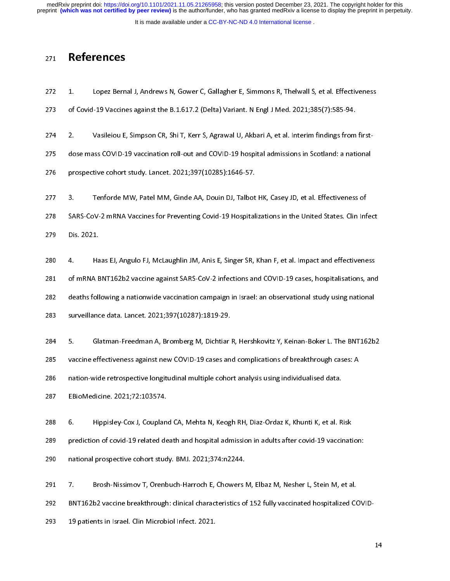preprint **(which was not certified by peer review)** is the author/funder, who has granted medRxiv a license to display the preprint in perpetuity. medRxiv preprint doi: [https://doi.org/10.1101/2021.11.05.21265958;](https://doi.org/10.1101/2021.11.05.21265958) this version posted December 23, 2021. The copyright holder for this

It is made available under a CC-BY-NC-ND 4.0 International license.

# 271 References

- 272  $1$
- 
- 273 of Covid-19 Vaccines against the B.1.617.2 (Delta) Variant. N Engl J Med. 2021;385(7):585-94.<br>274 2. Vasileiou E, Simpson CR, Shi T, Kerr S, Agrawal U, Akbari A, et al. Interim findings from first-<br>275 dose mass COVID-274 2. Vasileiou E, Simpson CR, Shi T, Kerr S, Agrawal U, Akbari A, et al. Interim findings from<br>275 dose mass COVID-19 vaccination roll-out and COVID-19 hospital admissions in Scotland: a nati<br>276 prospective cohort study 275 dose mass COVID-19 vaccination roll-out and COVID-19 hospital admissions in Scotland: a national<br>276 prospective cohort study. Lancet. 2021;397(10285):1646-57.<br>277 3. Tenforde MW. Patel MM. Ginde AA. Douin DJ. Talbot H

276 prospective cohort study. Lancet. 2021;397(10285):1646-57.<br>277 3. Tenforde MW, Patel MM, Ginde AA, Douin DJ, Talbot HK, Casey JD, et al. Effectiveness of<br>278 SARS-CoV-2 mRNA Vaccines for Preventing Covid-19 Hospitaliza

277 3. Tenforde MW, Patel MM, Ginde AA, Douin DJ, Talbot<br>278 SARS-CoV-2 mRNA Vaccines for Preventing Covid-19 Hospital<br>279 Dis 2021 278 SARS-CoV-2 mRNA Vaccines for Preventing Covid-19 Hospitalizations in the United States. Clin Inf<br>279 Dis. 2021.<br>280 4 Haas El Angulo El McLaughlin IM Anis E. Singer SR. Khan E. et al. Impact and effectivene

279 Dis. 2021.<br>279 SARS-COV-2 mRNA EU, Angulo FJ, McLaughlin JM, Anis E, Singer SR, Khan F, et al. Impact and effectiveness<br>281 of mRNA BNT162b2 vaccine against SARS-CoV-2 infections and COVID-19 cases. hospitalisations an 279 Discussion<br>280 4. Ha<br>281 of mRNA B<br>282 deaths foll 4. Haas EJ, Angulo FJ, McLaughlin JM, Anis E, Singer SR, Khan F, et al. Impact and effectiveness<br>281 of mRNA BNT162b2 vaccine against SARS-CoV-2 infections and COVID-19 cases, hospitalisations, and<br>282 deaths following a n 282 deaths following a nationwide vaccination campaign in Israel: an observational study using national<br>283 surveillance data. Lancet. 2021;397(10287):1819-29.<br>284 5 Glatman-Freedman A Bromberg M Dichtiar R Hershkovitz Y K

283 surveillance data. Lancet. 2021;397(10287):1819-29.<br>284 5. Glatman-Freedman A, Bromberg M, Dichtiar R, Hershkovitz Y, Keinan-Boker L. The BNT162b<br>285 vaccine effectiveness against new COVID-19 cases and complications o 284 5. Glatman-Freedman A, Bromberg M, Dichtiar<br>285 vaccine effectiveness against new COVID-19 cases an<br>286 nation-wide retrospective longitudinal multiple cohor 285 vaccine effectiveness against new COVID-19 cases and complications of breakthrough cases: A<br>286 nation-wide retrospective longitudinal multiple cohort analysis using individualised data.<br>287 EBioMedicine. 2021;72:10357

vaccine effectiveness against new COVID-19 cases and complications of breakthrough cases:<br>
286 nation-wide retrospective longitudinal multiple cohort analysis using individualised data.<br>
287 EBioMedicine. 2021;72:103574.<br>

287 EBioMedicine. 2021;72:103574.<br>288 6. Hippisley-Cox J, Coupland CA, Mehta N, Keogh RH, Diaz-Ordaz K, Khunti K, et al. R<br>289 prediction of covid-19 related death and hospital admission in adults after covid-19 vacci 288 6. Hippisley-Cox J, Couplan<br>289 prediction of covid-19 related de<br>290 pational prospective cobort stud 289 prediction of covid-19 related death and hospital admission in adults after covid-19 vaccinational prospective cohort study. BMJ. 2021;374:n2244.<br>290 national prospective cohort study. BMJ. 2021;374:n2244.<br>291 7 Rroshprediction of covid-19 related death and hospital admission in adults after covid-19 vaccination:<br>
290 national prospective cohort study. BMJ. 2021;374:n2244.<br>
291 7. Brosh-Nissimov T, Orenbuch-Harroch E, Chowers M, Elbaz

291 12. Brosh-Nissimov T, Orenbuch-Harroch E, Chowers<br>292 BNT162b2 vaccine breakthrough: clinical characteristics of<br>293 19 patients in Israel. Clin Microbiol Infect 2021 202 BNT162b2 vaccine breakthrough: clinical characteristics of 152 fully vaccinated hospitalized CO<br>293 19 patients in Israel. Clin Microbiol Infect. 2021.

293 BENT162 vaccine breakthrough: clinical characteristics of 152 fully vaccinated to the<br>293 19 patients in Israel. Clin Microbiol Infect. 2021. 293 19 patients in Israel. Clin Microbiol Infect. 2021.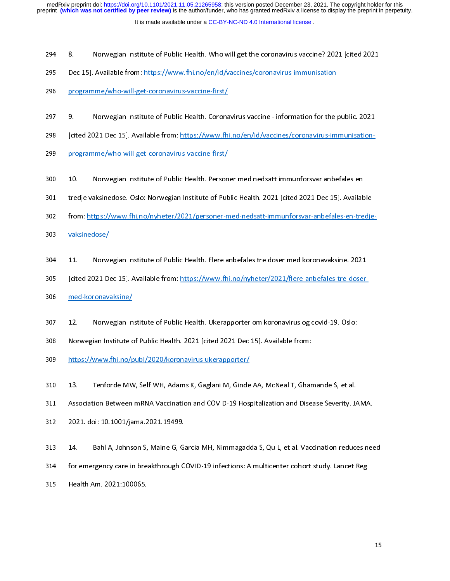- 
- 295 Dec 15]. Available from: https://www.fhi.no/en/id/vaccines/coronavirus-immunisation-<br>296 programme/who-will-get-coronavirus-vaccine-first/<br>297 9 Norwegian Institute of Public Health. Coronavirus vaccine information f
- 
- 296 Drogramme/who-will-get-coronavirus-vaccine-first/<br>297 9. Norwegian Institute of Public Health. Coronavirus vaccine information for the p<br>298 Leited 2021 Dec 151 Available from: https://www.fhi.no/en/id/vaccines/coron 297 9. Norwegian Institute of Public Health. Corona<br>298 [cited 2021 Dec 15]. Available from: https://www.fh<br>299 programme/who-will-get-coronavirus-vaccine-first/
- 298 [cited 2021 Dec 15]. Available from: https://www.fhi.no/en/id/vaccines/coronavirus-immunisation-<br>299 programme/who-will-get-coronavirus-vaccine-first/<br>200 10 Norwegian Institute of Public Health. Personer med nedsatt i
- 
- 299 [cited 2021 Dec 2021 Dec 15]. Available from: https://www.fhi.no.coronavirus-vaccine-first/<br>200 10. Norwegian Institute of Public Health. Personer med nedsatt immunforsvar anbefales en<br>201 1 tredie vaksinedose. Oslo: N
- 209 10. Norwegian Institute of Public Health. Person<br>201 tredje vaksinedose. Oslo: Norwegian Institute of Pub<br>202 from: https://www.fhi.no/pyheter/2021/personer-m 301 tredje vaksinedose. Oslo: Norwegian Institute of Public Health. 2021 [cited 2021 Dec 15]. Availab<br>302 from: https://www.fhi.no/nyheter/2021/personer-med-nedsatt-immunforsvar-anbefales-en-tre<br>303 xaksinedose/
- 301 tredje vaksinedose. Oslo: Norwegian Institute of Public Health. 2021 [cited 2021 Dec 15]. Available<br>302 from: https://www.fhi.no/nyheter/2021/personer-med-nedsatt-immunforsvar-anbefales-en-tredje-<br>303 yaksinedose/<br>304
- 
- 303 *incominalism*<br>303 *incominalism*<br>304 11. Norwegian Institute of Public Health. Flere anbefales tre doser med koronavaksine. 2021<br>305 *icited 2021 Dec 151. Available from: https://www.fhi.no/nyheter/2021/flere-anbefale* 304 11. Norwe<br>305 [cited 2021 De<br>306 med-koronava
- 305 [cited 2021 Dec 15]. Available from: https://www.fhi.no/nyheter/2021/flere-anbefales-tre-doser-<br>306 med-koronavaksine/<br>307 12. Norwegian Institute of Public Health. Ukerapporter om koronavirus og covid-19. Oslo:
- 
- 307 12. Norwegian Institute of Public Health. Ukerapporter om koronavirus og covid-19. Oslo:<br>308 Norwegian Institute of Public Health. 2021 [cited 2021 Dec 15]. Available from: 307 12. Norwegian In<br>308 Norwegian Institute c<br>309 https://www.fhi.no/r
- 308 Norwegian Institute of Public Health. 2021 [cited 2021 Dec 15]. Available from:<br>309 https://www.fhi.no/publ/2020/koronavirus-ukerapporter/<br>310 13 Tenforde MW Self WH Adams K Gaglani M Ginde AA McNeal T Ghamande S et al
- 
- 309 https://www.fhi.no/publ/2020/koronavirus-ukerapporter/<br>310 13. Tenforde MW, Self WH, Adams K, Gaglani M, Ginde AA, McNeal T, Ghar<br>311 Association Between mRNA Vaccination and COVID-19 Hospitalization and Dise 310 13. Tenforde MW, Self WH, Adams K, Gaglani M, Ginde<br>311 Association Between mRNA Vaccination and COVID-19 Hos<br>312 2021 doi: 10 1001/jama 2021 19499
- 311 Association Between mRNA Vaccination and COVID-19 Hospitalization and Disease Severity. J.<br>312 2021. doi: 10.1001/jama.2021.19499.<br>313 14 Bahl A. Johnson S. Maine G. Garcia MH. Nimmagadda S. Ou L. et al. Vaccination re
- 
- 312 Det March Between ministries many of the Lie Treep manufacture and Disease Severity. Jaman<br>312 Det Moi: 10.1001/jama.2021.19499.<br>313 Det Mana Johnson S, Maine G, Garcia MH, Nimmagadda S, Qu L, et al. Vaccination reduce 313 14. Bahl A, Johnson S, Maine G, Ga.<br>313 14. Bahl A, Johnson S, Maine G, Ga.<br>314 for emergency care in breakthrough C.
- 314 for emergency care in breakthrough COVID-19 infections: A multicenter cohort study. Lancet Reg<br>315 Health Am. 2021:100065.
- 315 For emergency care in breakthrough COVID-19 infections: A metabolic cohort study, Lancet Reg<br>315 Field N Am. 2021:100065. 315 Health Am. 2021:100065.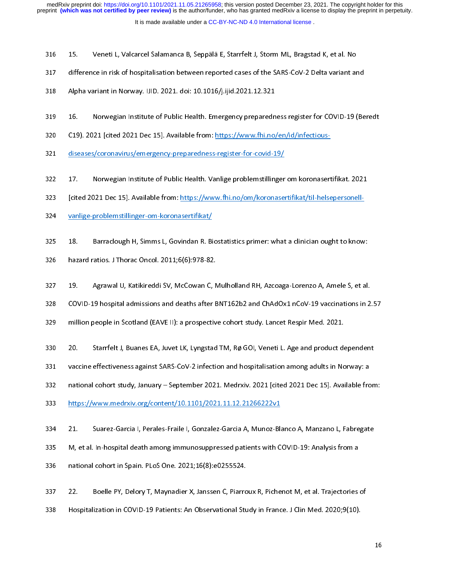- 
- 316 15. Veneti L, Valcarcel Salamanca B, Seppälä E, Starrfelt J, Storm ML, Bragstad K, et al. No<br>317 difference in risk of hospitalisation between reported cases of the SARS-CoV-2 Delta variant and<br>318 Alpha variant in Nor
- 
- 318 Alpha variant in Norway. IJID. 2021. doi: 10.1016/j.ijid.2021.12.321<br>319 16. Norwegian Institute of Public Health. Emergency preparedness register for COVID-19 (Be<br>320 19) 2021 Icited 2021 Dec 151 Available from: https
- 320 C19). 2021 [cited 2021 Dec 15]. Available from: https://www.fhi.no/en/id/infectious-<br>321 diseases/coronavirus/emergency-preparedness-register-for-covid-19/ 320 C19). 2021 [cited 2021 Dec 15]. Available from: https://www.fhi.no/en/id/infectious-<br>321 diseases/coronavirus/emergency-preparedness-register-for-covid-19/<br>322 17 Norwegian Institute of Public Health. Vanlige problemst
- 
- 321 diseases/coronavirus/emergency-preparedness-register-for-covid-19/<br>322 17. Norwegian Institute of Public Health. Vanlige problemstillinger om koronaser<br>323 Icited 2021 Dec 151 Available from: https://www.fhi.no/om/koro 322 17. Norwegian Institute of Public Health. Vanlige problemstillinger<br>323 [cited 2021 Dec 15]. Available from: https://www.fhi.no/om/koronaser<br>324 vanlige-problemstillinger-om-koronasertifikat/
- 323 [cited 2021 Dec 15]. Available from: https://www.fhi.no/om/koronasertifikat/til-helsepersonell-<br>324 sanlige-problemstillinger-om-koronasertifikat/<br>325 18 Barraclough H. Simms J. Govindan R. Biostatistics primer: what a
- 
- 324 **Interact 2021 Performance Community of the 1512 Performance of the Vanlige-problemstillinger-om-koronasertifikat/til-helpersonell-helpersonell-helpersonell-helpersonell-helpersonell-helpersonell-helpersonell-helperson** <u>vanlige-problemstillinger-om-koronasertifikat/</u><br>325 18. Barraclough H, Simms L, Govindan R. Biostatistics primer: what a clinician ought to know:<br>326 hazard ratios. J Thorac Oncol. 2011;6(6):978-82.
- 
- 326 13. Barraclough H, Simms L, Gormanian Biocannicio primeri: what a clinician ought to know:<br>326 18. Barraclong H, Simms L, Biocannician R. Biocannician ought to know:<br>327 19. Agrawal U, Katikireddi SV, McCowan C, Mulhol 327 19. Agrawal U, Katikireddi SV, McCowan C, N<br>328 COVID-19 hospital admissions and deaths after B<br>329 million people in Scotland (FAVE II): a prospectiv
- 328 COVID-19 hospital admissions and deaths after BNT162b2 and ChAdOx1 nCoV-19 vaccinations in 2<br>329 million people in Scotland (EAVE II): a prospective cohort study. Lancet Respir Med. 2021.<br>330 20 Starrfelt J. Buanes FA.
- 
- 329 million people in Scotland (EAVE II): a prospective cohort study. Lancet Respir Med. 2021.<br>330 20. Starrfelt J, Buanes EA, Juvet LK, Lyngstad TM, Rø GOI, Veneti L. Age and product dependent<br>331 vaccine effectiveness ag 330 20. Starrfelt J, Buanes EA, Juvet LK, Lyngstad TM, Rø GOI, Veneti L. Age and product de<br>331 vaccine effectiveness against SARS-CoV-2 infection and hospitalisation among adults in No<br>332 national cohort study. January –
- 
- 331 vaccine effectiveness against SARS-CoV-2 infection and hospitalisation among adults in Norway: a<br>332 national cohort study, January September 2021. Medrxiv. 2021 [cited 2021 Dec 15]. Available fron<br>333 https://www.me 332 national cohort study, January – September 2021. Medrxiv. 2021 [cited 2021 Dec 15]. Available from the same in Norway: and hospitalisation and hospitalisation and hospitalisation and hospitalisation and hospitalisation
- 
- 333 https://www.medrxiv.org/content/10.1101/2021.11.12.21266222v1<br>334 21. Suarez-Garcia I, Perales-Fraile I, Gonzalez-Garcia A, Munoz-Blanco A, Manzano L, Fabregate<br>335 Metal In-hospital death among immunosuppressed patien 334 21. Suarez-Garcia I, Perales-Fraile I, Gonzalez-Garcia A, Munoz-Bland<br>335 M, et al. In-hospital death among immunosuppressed patients with C<br>336 mational cohort in Spain PLoS One 2021:16(8):e0255524
- 234 21. Suarez-Garcia I, Peranez-Frainch, Peranez-Garcia I, Marcez-Garcia I, Manzano 2, Manzano 2, Manzano 2,<br>335 M, et al. In-hospital death among immunosuppressed patients with COVID-19: Analysis from a<br>336 Manzional coh
- 
- 336 M, Et al. In-hospital and among immunosuppressed patients with COVID-19: Analysis from and as a mational cohort in Spain. PLoS One. 2021;16(8):e0255524.<br>337 22. Boelle PY, Delory T, Maynadier X, Janssen C, Piarroux 337 22. Boelle PY, Delory T, Maynadier X, Janssen C, Piarro<br>338 Hospitalization in COVID-19 Patients: An Observational Stu
- 338 Hospitalization in COVID-19 Patients: An Observational Study in France. J Clin Med. 2020;9(10). 338 Hospitalization in COVID-19 Patients: An Observational Study in France. J Clin Med. 2020;9(10).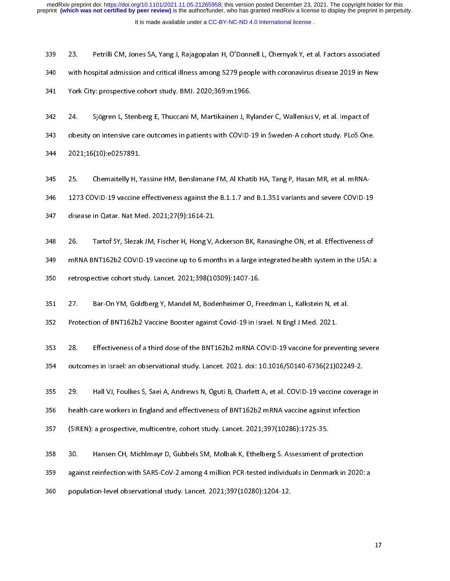23. Petrilli CM, Jones SA, Yang J, Rajagopalan H, O'Donnell L, Chernyak Y, et al. Factors associated<br>340 with hospital admission and critical illness among 5279 people with coronavirus disease 2019 in New<br>341 York City: pr 341 With hospital admission and critical interactions among 5279 people with coronavirus disease 2019 with 201<br>342 24. Sjögren L, Stenberg E, Thuccani M, Martikainen J, Rylander C, Wallenius V, et al. Impact of<br>343 obesity 342 24. Sjögren L, Stenberg E, Thuccani M, Martikainen J, Ry<br>343 obesity on intensive care outcomes in patients with COVID-3<br>344 2021:16(10):e0257891

343 besity on intensive care outcomes in patients with COVID-19 in Sweden-A cohort study. PLoS One<br>344 2021;16(10):e0257891.<br>345 25 Chemaitelly H. Yassine HM. Benslimane FM. Al Khatib HA. Tang P. Hasan MR. et al. mRNA-344 obesity on intensive care outcomes in patients with COVID-11 intensive care, 2021;16(10):e0257891.<br>345 25. Chemaitelly H, Yassine HM, Benslimane FM, Al Khatib HA, Tang P, Hasan MR, et al. mRNA-<br>346 1273 COVID-19 vaccin

345 25. Chemaitelly H, Y<br>346 1273 COVID-19 vaccine<br>347 disease in Oatar Nat Me 25. Chemaitelly H, Yassine HM, Benslimane FM, Al Khatib HA, Tang P, Hasan MR, et al. mRNA-<br>2346 2273 COVID-19 vaccine effectiveness against the B.1.1.7 and B.1.351 variants and severe COVID-19<br>347 disease in Qatar. Nat Med

347 disease in Qatar. Nat Med. 2021;27(9):1614-21.<br>348 26. Tartof SY, Slezak JM, Fischer H, Hong V, Ackerson BK, Ranasinghe ON, et al. Effectiveness of<br>349 mRNA BNT162b2 COVID-19 vaccine un to 6 months in a large integrate

348 26. Tartof SY, Slezak JM, Fischer H, Hong V, A<br>349 mRNA BNT162b2 COVID-19 vaccine up to 6 mon<br>350 retrospective cohort study. Lancet. 2021:398(10 2349 mRNA BNT162b2 COVID-19 vaccine up to 6 months in a large integrated health system in the USA: a<br>350 retrospective cohort study. Lancet. 2021;398(10309):1407-16.<br>351 27 Bar-On YM. Goldberg Y. Mandel M. Bodenheimer O. F

350 metrospective cohort study. Lancet. 2021;398(10309):1407-16.<br>351 27. Bar-On YM, Goldberg Y, Mandel M, Bodenheimer O, Freedman L, Kalkstein N, et al.<br>352 Protection of BNT162b2 Vaccine Booster against Covid-19 in Israel

351 27. Bar-On YM, Goldberg Y, Mandel M, Bodenheimer O, Fr<br>352 Protection of BNT162b2 Vaccine Booster against Covid-19 in Isl

352 Protection of BNT162b2 Vaccine Booster against Covid-19 in Israel. N Engl J Med. 2021.<br>353 28. Effectiveness of a third dose of the BNT162b2 mRNA COVID-19 vaccine for preventi<br>354 outcomes in Israel: an observational s 353 28. Effectiveness of a third dose of the BNT162b2 mRNA COVID-19 vaccine for prevention of a third dose of the BNT162b2 mRNA COVID-19 vaccine for prevention of the BNT162b2 mRNA COVID-19 vaccine for prevention of the BN

354 outcomes in Israel: an observational study. Lancet. 2021. doi: 10.1016/S0140-6736(21)02249-2.<br>355 29. Hall VJ, Foulkes S, Saei A, Andrews N, Oguti B, Charlett A, et al. COVID-19 vaccine coverage in<br>356 health-care work

355 29. Hall VJ, Foulkes S, Saei A, Andrews N, Oguti B, Charlett A, et al. COVID-19 vaccine coveration<br>356 health-care workers in England and effectiveness of BNT162b2 mRNA vaccine against infection<br>357 (SIRFN): a prospect 356 bealth-care workers in England and effectiveness of BNT162b2 mRNA vaccine against infection<br>357 (SIREN): a prospective, multicentre, cohort study. Lancet. 2021;397(10286):1725-35.<br>358 30 Hansen CH Michlmayr D. Gubbels

357 (SIREN): a prospective, multicentre, cohort study. Lancet. 2021;397(10286):1725-35.<br>358 30. Hansen CH, Michlmayr D, Gubbels SM, Molbak K, Ethelberg S. Assessment of protection<br>359 against reinfection with SARS-CoV-2 am 358 30. Hansen CH, Michlmayr D, Gubbels SM, Molbak K, Ethelberg S. Assessment of<br>359 against reinfection with SARS-CoV-2 among 4 million PCR-tested individuals in Denma<br>360 nonulation-level observational study. Lancet. 202

359 against reinfection with SARS-CoV-2 among 4 million PCR-tested individuals in Denmark in 2020:<br>360 population-level observational study. Lancet. 2021;397(10280):1204-12.

360 against reinfection million et cover 2 among 4 million PCR-tested individuals in Demiliark in 2020.<br>360 appulation-level observational study. Lancet. 2021;397(10280):1204-12. 360 population-level observational study. Lancet. 2021;397(10280):1204-12.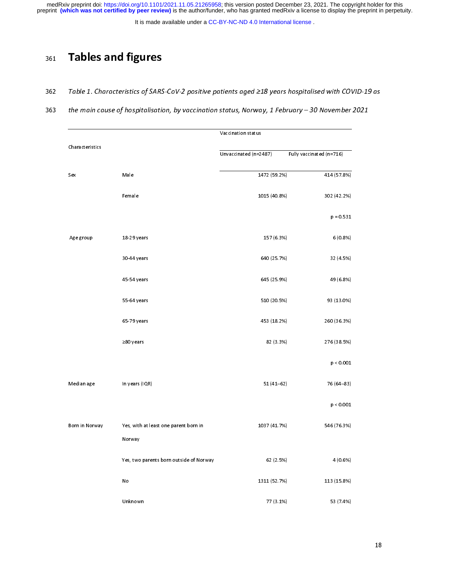It is made available under a [CC-BY-NC-ND 4.0 International license](http://creativecommons.org/licenses/by-nc-nd/4.0/) .

# 361 Tables and figures

- 362 Table 1. Characteristics of SARS-CoV-2 positive patients aged ≥18 years hospitalised with COVID-19 as
- 363 the main cause of hospitalisation, by vaccination status, Norway, 1 February 30 November 2021

|                 |                                         | Vaccination status    |                          |
|-----------------|-----------------------------------------|-----------------------|--------------------------|
| Characteristics |                                         |                       |                          |
|                 |                                         | Unvaccinated (n=2487) | Fully vaccinated (n=716) |
|                 |                                         |                       |                          |
| Sex             | Male                                    | 1472 (59 2%)          | 414 (57.8%)              |
|                 |                                         |                       |                          |
|                 | Female                                  | 1015 (40.8%)          | 302 (42.2%)              |
|                 |                                         |                       | $p = 0.531$              |
|                 |                                         |                       |                          |
| Age group       | 18-29 years                             | 157 (6.3%)            | 6 (0.8%)                 |
|                 |                                         |                       |                          |
|                 | 30-44 years                             | 640 (25.7%)           | 32 (4.5%)                |
|                 |                                         |                       |                          |
|                 | 45-54 years                             | 645 (25.9%)           | 49 (6.8%)                |
|                 |                                         |                       |                          |
|                 | 55-64 years                             | 510 (20.5%)           | 93 (13.0%)               |
|                 |                                         |                       |                          |
|                 | 65-79 years                             | 453 (18.2%)           | 260 (36.3%)              |
|                 |                                         |                       |                          |
|                 | $\geq$ 80 years                         | 82 (3.3%)             | 276 (38.5%)              |
|                 |                                         |                       | p < 0.001                |
|                 |                                         |                       |                          |
| Median age      | In years (IQR)                          | $51(41 - 62)$         | 76 (64-83)               |
|                 |                                         |                       |                          |
|                 |                                         |                       | p < 0.001                |
|                 |                                         |                       |                          |
| Born in Norway  | Yes, with at least one parent born in   | 1037 (41 7%)          | 546 (76.3%)              |
|                 | Norway                                  |                       |                          |
|                 |                                         |                       |                          |
|                 | Yes, two parents born outside of Norway | 62 (2.5%)             | 4 (0.6%)                 |
|                 |                                         |                       |                          |
|                 | ${\sf No}$                              | 1311 (52.7%)          | 113 (15.8%)              |
|                 |                                         |                       |                          |
|                 | Unknown                                 | 77 (3.1%)             | 53 (7.4%)                |
|                 |                                         |                       |                          |
|                 |                                         |                       |                          |
|                 |                                         |                       |                          |
|                 |                                         |                       |                          |
|                 |                                         |                       |                          |
|                 |                                         |                       |                          |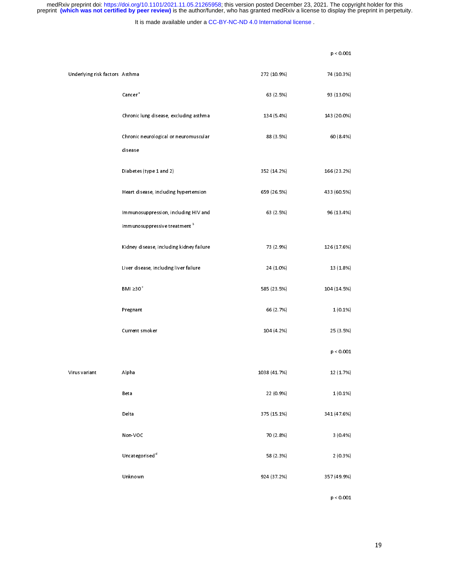It is made available under a [CC-BY-NC-ND 4.0 International license](http://creativecommons.org/licenses/by-nc-nd/4.0/) .

|                                |                                          |              | p < 0.001   |
|--------------------------------|------------------------------------------|--------------|-------------|
| Underlying risk factors Asthma |                                          | 272 (10.9%)  | 74 (10.3%)  |
|                                | Cancer <sup>a</sup>                      | 63 (2.5%)    | 93 (13.0%)  |
|                                | Chronic lung disease, excluding asthma   | 134 (5.4%)   | 143 (20.0%) |
|                                | Chronic neurological or neuromuscular    | 88 (3.5%)    | 60 (8.4%)   |
|                                | disease                                  |              |             |
|                                | Diabetes (type 1 and 2)                  | 352 (14.2%)  | 166 (23.2%) |
|                                | Heart disease, including hypert ension   | 659 (26.5%)  | 433 (60.5%) |
|                                | Immunosuppression, including HIV and     | 63 (2.5%)    | 96 (13.4%)  |
|                                | immuno suppressive treatment b           |              |             |
|                                | Kidney disease, including kidney failure | 73 (2.9%)    | 126 (17.6%) |
|                                | Liver disease, including liver failure   | 24 (1.0%)    | 13 (1.8%)   |
|                                | BMI $\geq 30$ $^{\circ}$                 | 585 (23.5%)  | 104 (14.5%) |
|                                | Pregnant                                 | 66 (2.7%)    | 1(0.1%)     |
|                                | Current smoker                           | 104 (4.2%)   | 25 (3.5%)   |
|                                |                                          |              | p < 0.001   |
| Virus variant                  | Alpha                                    | 1038 (41.7%) | 12 (1.7%)   |
|                                | Beta                                     | 22 (0.9%)    | $1(0.1\%)$  |
|                                | Delta                                    | 375 (15.1%)  | 341 (47.6%) |
|                                | Non-VOC                                  | 70 (2.8%)    | 3(0.4%)     |
|                                | Uncategorised <sup>d</sup>               | 58 (2.3%)    | 2(0.3%)     |
|                                | Unknown                                  | 924 (37.2%)  | 357 (49.9%) |
|                                |                                          |              | p < 0.001   |
|                                |                                          |              |             |
|                                |                                          |              |             |
|                                |                                          |              |             |

p < 0.001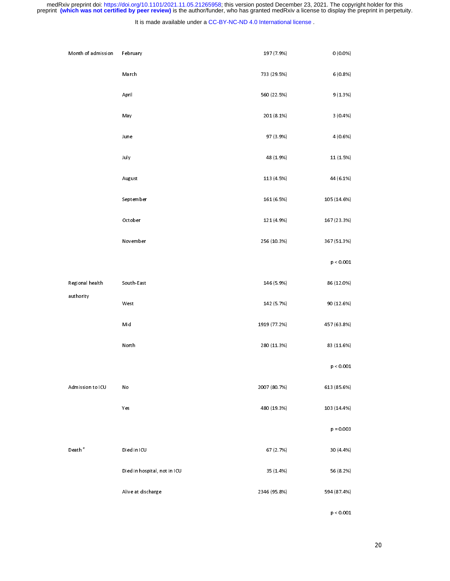### It is made available under a [CC-BY-NC-ND 4.0 International license](http://creativecommons.org/licenses/by-nc-nd/4.0/) .

| Month of admission                          | February                     | 197 (7.9%)   | $0(0.0\%)$  |
|---------------------------------------------|------------------------------|--------------|-------------|
|                                             | March                        | 733 (29.5%)  | 6(0.8%)     |
|                                             | April                        | 560 (22.5%)  | 9(1.3%)     |
|                                             | May                          | 201 (8.1%)   | $3(0.4\%)$  |
|                                             | June                         | 97 (3.9%)    | 4 (0.6%)    |
|                                             | July                         | 48 (1.9%)    | 11 (1.5%)   |
|                                             | August                       | 113 (4 5%)   | 44 (6.1%)   |
|                                             | September                    | 161 (6.5%)   | 105 (14.6%) |
|                                             | October                      | 121 (4.9%)   | 167 (23.3%) |
|                                             | November                     | 256 (10.3%)  | 367 (51.3%) |
|                                             |                              |              | p < 0.001   |
| Regional health                             | South-East                   | 146 (5.9%)   | 86 (12.0%)  |
| authority                                   | $\sf West$                   | 142 (5.7%)   | 90 (12.6%)  |
|                                             | Mid                          | 1919 (77.2%) | 457 (63.8%) |
|                                             | North                        | 280 (11.3%)  | 83 (11.6%)  |
|                                             |                              |              | p < 0.001   |
| Admission to ICU                            | No                           | 2007 (80.7%) | 613 (85.6%) |
|                                             | Yes                          | 480 (19.3%)  | 103 (14.4%) |
|                                             |                              |              | $p = 0.003$ |
| $\mathsf{D}\, \mathsf{eath}^{\,\mathsf{e}}$ | Died in ICU                  | 67 (2.7%)    | 30 (4.4%)   |
|                                             | Died in hospital, not in ICU | 35 (1.4%)    | 56 (8.2%)   |
|                                             | Alive at discharge           | 2346 (95.8%) | 594 (87.4%) |
|                                             |                              |              | p < 0.001   |
|                                             |                              |              |             |
|                                             |                              |              |             |
|                                             |                              |              |             |

p < 0.001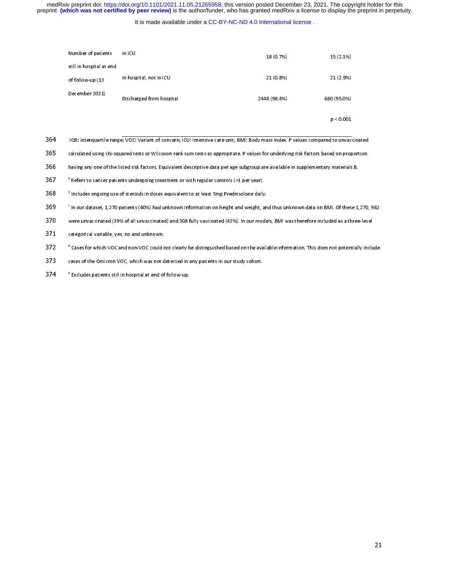### It is made available under a [CC-BY-NC-ND 4.0 International license](http://creativecommons.org/licenses/by-nc-nd/4.0/) .

| In ICU<br>Number of patients |                                                                                                                                    | 18 (0.7%)    | 15 (2.1%)   |
|------------------------------|------------------------------------------------------------------------------------------------------------------------------------|--------------|-------------|
| still in hospital at end     |                                                                                                                                    |              |             |
| of follow-up (13             | In hospital, not in ICU                                                                                                            | 21 (0.8%)    | 21 (2.9%)   |
| December 2021)               | Discharged from hospital                                                                                                           | 2448 (98.4%) | 680 (95.0%) |
|                              |                                                                                                                                    |              | p < 0.001   |
|                              | IQR: interquartile range; VOC: Variant of concern; ICU: Intensive care unit; BMI: Body mass index. P values compared to unvacci    |              |             |
|                              | calculated using chi-squared tests or Wilcoxon rank sum tests as appropriate. P values for underlying risk factors based on propo  |              |             |
|                              | having any one of the listed risk factors. Equivalent descriptive data per age subgroup are available in supplementary materials B |              |             |

| 364. | IQR: interquartile range; VOC: Variant of concern; ICU: Intensive care unit; BMI: Body mass index. P values compared to unvaccinated |  |  |  |
|------|--------------------------------------------------------------------------------------------------------------------------------------|--|--|--|
|------|--------------------------------------------------------------------------------------------------------------------------------------|--|--|--|

- d<br>a<br>a p 1999<br>Theory (Separation of concern; ICU: Intensive care unit; BMI: Body mass index. P values compared to unvact<br>ared tests or Wilcoxon rank sum tests as appropriate. P values for underlying risk factors based on prop<br>ted
- 
- 
- <sup>2</sup> Perers to cancer patients undergoing treatment or with regular controls (>1 per year).<br>
368 <sup>b</sup> includes ongoing use of steroids in doses equivalent to at least 5mg Prednisolone daily<br>
369 <sup>c</sup> in our dataset, 1,270 pat
- 365 calculated using chi-squared tests or Wilcoxon rank sum tests as appropriate. P values for underlying risk factors based on proportion<br>366 having any one of the listed risk factors. Equivalent descriptive data per age
- 366 having any one of the listed risk factors. Equivalent descriptive data per age subgroup are available in supplementary materials B.<br>367 <sup>a</sup> Refers to cancer patients undergoing treatment or with regular controls (>1 pe any of the listed risk factors. The listed risk factors is the listed risk factors. The listed risk factors of the listed risk factors. The listed risk factors of the listed risk factors. The listed risk factors of the lis Includes ongoing use of steroids in doses equivalent to at least 5mg Prednisolone daily.<br>
369 <sup>c</sup> in our dataset, 1,270 patients (40%) had unknown information on height and weight, an<br>
370 were unvaccinated (39% of all unv
- 
- In our dataset, 1,270 patients (40%) had unknown information on height and weight, and thus unknown data on BMI. Of these 1,270, 962<br>Were unvaccinated (39% of all unvaccinated) and 308 fully vaccinated (43%). In our models 2320 were uncarrelated (39% of all university of all university) and states in our study changed in the all university of Cases for which VOC and non-VOC could not clearly be distinguished based on the available informatio <sup>21</sup> Cases for which VOC and non-VOC could r<br>373 cases of the Omicron VOC, which was not c<br>374 excludes patients still in hospital at end of d 372 Cases for which VOC and non-VOC could not clearly be distinguished based on the available information. This does not potentially include<br>cases of the Omicron VOC, which was not detected in any patients in our study c
- 
- <sup>e</sup> Excludes patients still in hospital at end of follow-up.<br>374 <sup>e</sup> Excludes patients still in hospital at end of follow-up.  $\texttt{S74}$   $\blacksquare$  Excludes patients still in hospital at end of follow-up.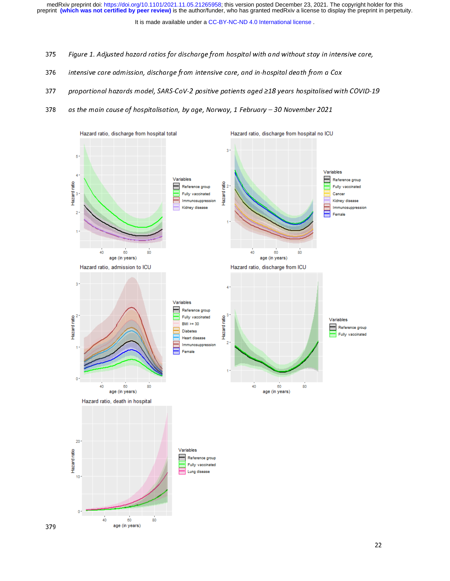It is made available under a CC-BY-NC-ND 4.0 International license.

- 375 Figure 1. Adjusted hazard ratios for discharge from hospital with and without stay in intensive care,
- 376 intensive care admission, discharge from intensive care, and in-hospital death from a Cox
- 377 proportional hazards model, SARS-CoV-2 positive patients aged ≥18 years hospitalised with COVID-19
- 378 as the main cause of hospitalisation, by age, Norway, 1 February 30 November 2021

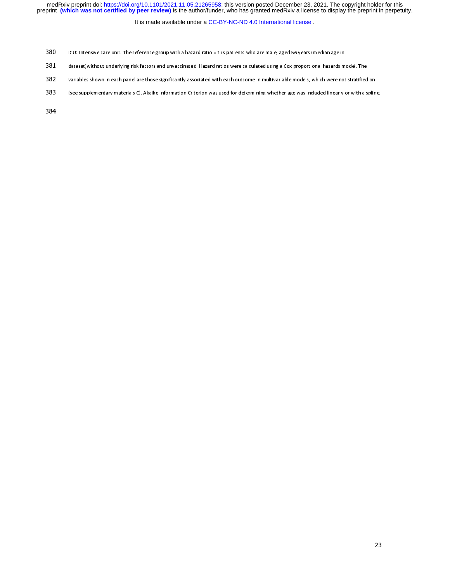It is made available under a [CC-BY-NC-ND 4.0 International license](http://creativecommons.org/licenses/by-nc-nd/4.0/) .

- 
- 381 dataset) without underlying risk factors and unvaccinated. Hazard ratios were calculated using a Cox proportional hazards m<br>382 variables shown in each panel are those significantly associated with each outcome in mult
- and the shown in each panel are those significantly associated with each outcome in multivariable models, which were not stratified<br>383 (see supplementary materials C). Akaike Information Criterion was used for determining
- 383 (see supplementary materials C). Akaike Information Criterion was used for determining whether age was included linearly or with a splin<br>383 (see supplementary materials C). Akaike Information Criterion was used for de 383 (see supplementary materials C). Akaike Information Criterion was used for determining whether age was included linearly or with a spline.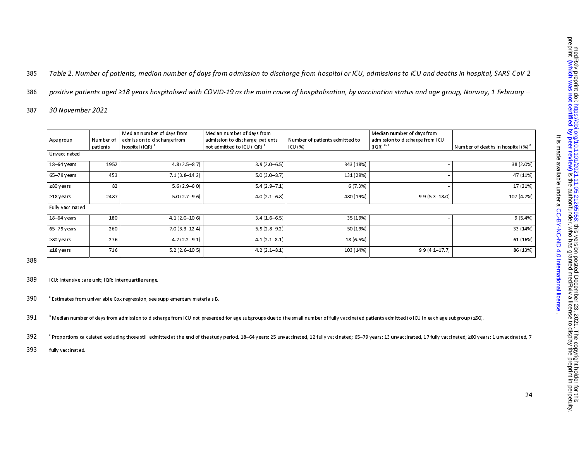385 Table 2. Number of patients, median number of days from admission to discharge from hospital or ICU, admissions to ICU and deaths in hospital, SARS-CoV-2

386 positive patients aged ≥18 years hospitalised with COVID-19 as the main cause of hospitalisation, by vaccination status and age group, Norway, 1 February –

387 30 November 2021

|                  |           | Median number of days from  | Median number of days from             |                                | Median number of days from      |                                  |
|------------------|-----------|-----------------------------|----------------------------------------|--------------------------------|---------------------------------|----------------------------------|
| Age group        | Number of | admission to discharge from | admission to discharge, patients       | Number of patients admitted to | admission to discharge from ICU |                                  |
|                  | patients  | hospital (IQR)              | not admitted to ICU (IQR) <sup>a</sup> | ICU (%)                        | $(IQR)^{a, b}$                  | Number of deaths in hospital (%) |
| Unvaccinated     |           |                             |                                        |                                |                                 |                                  |
| $18-64$ years    | 1952      | $48(25-87)$                 | $3.9(2.0 - 6.5)$                       | 343 (18%)                      |                                 | 38 (2.0%)                        |
| $65-79$ years    | 453       | $7.1(3.8-14.2)$             | $5.0(3.0 - 8.7)$                       | 131 (29%)                      |                                 | 47 (11%)                         |
| $\geq 80$ years  | 82        | $5.6(2.9 - 8.0)$            | $5.4(2.9 - 7.1)$                       | 6(7.3%)                        |                                 | 17 (21%)                         |
| $\geq$ 18 years  | 2487      | $5.0(2.7-9.6)$              | $4.0(2.1 - 6.8)$                       | 480 (19%)                      | $9.9(5.3 - 18.0)$               | 102 (4.2%)                       |
| Fully vaccinated |           |                             |                                        |                                |                                 |                                  |
| $18-64$ years    | 180       | $41(2.0-10.6)$              | $3.4(1.6-6.5)$                         | 35 (19%)                       |                                 | 9(5.4%)                          |
| $65-79$ years    | 260       | $7.0(3.3-12.4)$             | $5.9(2.8-9.2)$                         | 50 (19%)                       |                                 | 33 (14%)                         |
| $\geq 80$ years  | 276       | $47(22-91)$                 | $4.1(2.1 - 8.1)$                       | 18 (6.5%)                      |                                 | 61 (16%)                         |
| $\geq$ 18 years  | 716       | $5.2(2.6-10.5)$             | $4.2(2.1 - 8.1)$                       | 103 (14%)                      | $9.9(4.1 - 17.7)$               | 86 (13%)                         |

388

ICU: Intensive care unit; IQR: Interquartile range. 389

 $390$   $\,$   $^{\circ}$  Estimates from univariable Cox regression, see supplementary materials B.

 $391$  b Median number of days from admission to discharge from ICU not presented for age subgroups due to the small number of fully vaccinated patients admitted to ICU in each age subgroup (≤50).

 $\sf 392$  Proportions calculated excluding those still admitted at the end of the study period. 18–64 years: 25 unvaccinated, 12 fully vaccinated; 65–79 years: 13 unvaccinated, 17 fully vaccinated; ≥80 years: 1 unvaccinate

393 fully vaccinated.

. [CC-BY-NC-ND 4.0 International license](http://creativecommons.org/licenses/by-nc-nd/4.0/) It is made available under a

It is made available under a CC-BY-NC-ND 4.0 International license